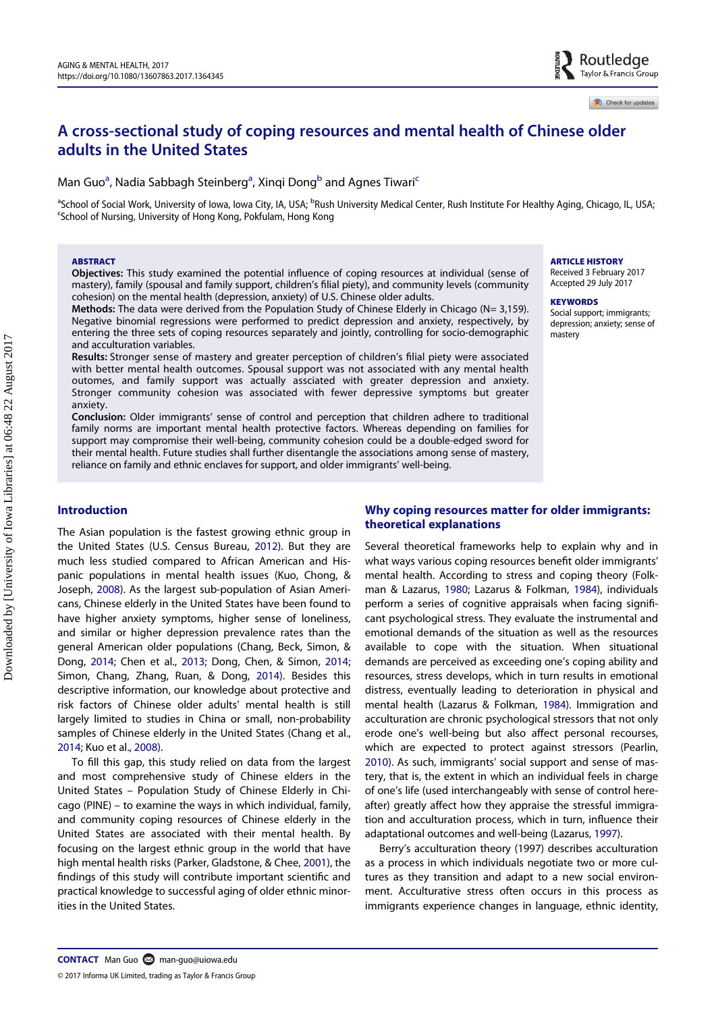# A cross-sectional study of coping resources and mental health of Chinese older adults in the United States

M[a](#page-0-0)n Guo<sup>a</sup>, Nadia Sa[b](#page-0-0)bagh Steinberg<sup>a</sup>, Xinqi Dong<sup>b</sup> and Agnes Tiwari<sup>c</sup>

<span id="page-0-0"></span><sup>a</sup>School of Social Work, University of Iowa, Iowa City, IA, USA; <sup>b</sup>Rush University Medical Center, Rush Institute For Healthy Aging, Chicago, IL, USA;<br><sup>c</sup>School of Nursing University of Hong Kong, Pekfulam, Hong Kong School of Nursing, University of Hong Kong, Pokfulam, Hong Kong

### **ARSTRACT**

Objectives: This study examined the potential influence of coping resources at individual (sense of mastery), family (spousal and family support, children's filial piety), and community levels (community cohesion) on the mental health (depression, anxiety) of U.S. Chinese older adults.

Methods: The data were derived from the Population Study of Chinese Elderly in Chicago (N= 3,159). Negative binomial regressions were performed to predict depression and anxiety, respectively, by entering the three sets of coping resources separately and jointly, controlling for socio-demographic and acculturation variables.

Results: Stronger sense of mastery and greater perception of children's filial piety were associated with better mental health outcomes. Spousal support was not associated with any mental health outomes, and family support was actually assciated with greater depression and anxiety. Stronger community cohesion was associated with fewer depressive symptoms but greater anxiety.

Conclusion: Older immigrants' sense of control and perception that children adhere to traditional family norms are important mental health protective factors. Whereas depending on families for support may compromise their well-being, community cohesion could be a double-edged sword for their mental health. Future studies shall further disentangle the associations among sense of mastery, reliance on family and ethnic enclaves for support, and older immigrants' well-being.

### **ARTICLE HISTORY**

Received 3 February 2017 Accepted 29 July 2017

#### **KEYWORDS**

Social support; immigrants; depression; anxiety; sense of mastery

# Introduction

<span id="page-0-10"></span><span id="page-0-3"></span>The Asian population is the fastest growing ethnic group in the United States (U.S. Census Bureau, [2012](#page-7-0)). But they are much less studied compared to African American and Hispanic populations in mental health issues (Kuo, Chong, & Joseph, [2008\)](#page-6-0). As the largest sub-population of Asian Americans, Chinese elderly in the United States have been found to have higher anxiety symptoms, higher sense of loneliness, and similar or higher depression prevalence rates than the general American older populations (Chang, Beck, Simon, & Dong, [2014;](#page-6-1) Chen et al., [2013](#page-6-2); Dong, Chen, & Simon, [2014;](#page-6-3) Simon, Chang, Zhang, Ruan, & Dong, [2014](#page-7-1)). Besides this descriptive information, our knowledge about protective and risk factors of Chinese older adults' mental health is still largely limited to studies in China or small, non-probability samples of Chinese elderly in the United States (Chang et al., [2014](#page-6-1); Kuo et al., [2008](#page-6-0)).

<span id="page-0-9"></span><span id="page-0-8"></span><span id="page-0-7"></span><span id="page-0-6"></span><span id="page-0-5"></span><span id="page-0-4"></span><span id="page-0-2"></span><span id="page-0-1"></span>To fill this gap, this study relied on data from the largest and most comprehensive study of Chinese elders in the United States – Population Study of Chinese Elderly in Chicago (PINE) – to examine the ways in which individual, family, and community coping resources of Chinese elderly in the United States are associated with their mental health. By focusing on the largest ethnic group in the world that have high mental health risks (Parker, Gladstone, & Chee, [2001\)](#page-7-2), the findings of this study will contribute important scientific and practical knowledge to successful aging of older ethnic minorities in the United States.

# Why coping resources matter for older immigrants: theoretical explanations

Several theoretical frameworks help to explain why and in what ways various coping resources benefit older immigrants' mental health. According to stress and coping theory (Folkman & Lazarus, [1980](#page-6-4); Lazarus & Folkman, [1984\)](#page-6-5), individuals perform a series of cognitive appraisals when facing significant psychological stress. They evaluate the instrumental and emotional demands of the situation as well as the resources available to cope with the situation. When situational demands are perceived as exceeding one's coping ability and resources, stress develops, which in turn results in emotional distress, eventually leading to deterioration in physical and mental health (Lazarus & Folkman, [1984\)](#page-6-5). Immigration and acculturation are chronic psychological stressors that not only erode one's well-being but also affect personal recourses, which are expected to protect against stressors (Pearlin, [2010\)](#page-7-3). As such, immigrants' social support and sense of mastery, that is, the extent in which an individual feels in charge of one's life (used interchangeably with sense of control hereafter) greatly affect how they appraise the stressful immigration and acculturation process, which in turn, influence their adaptational outcomes and well-being (Lazarus, [1997](#page-6-6)).

Berry's acculturation theory (1997) describes acculturation as a process in which individuals negotiate two or more cultures as they transition and adapt to a new social environment. Acculturative stress often occurs in this process as immigrants experience changes in language, ethnic identity,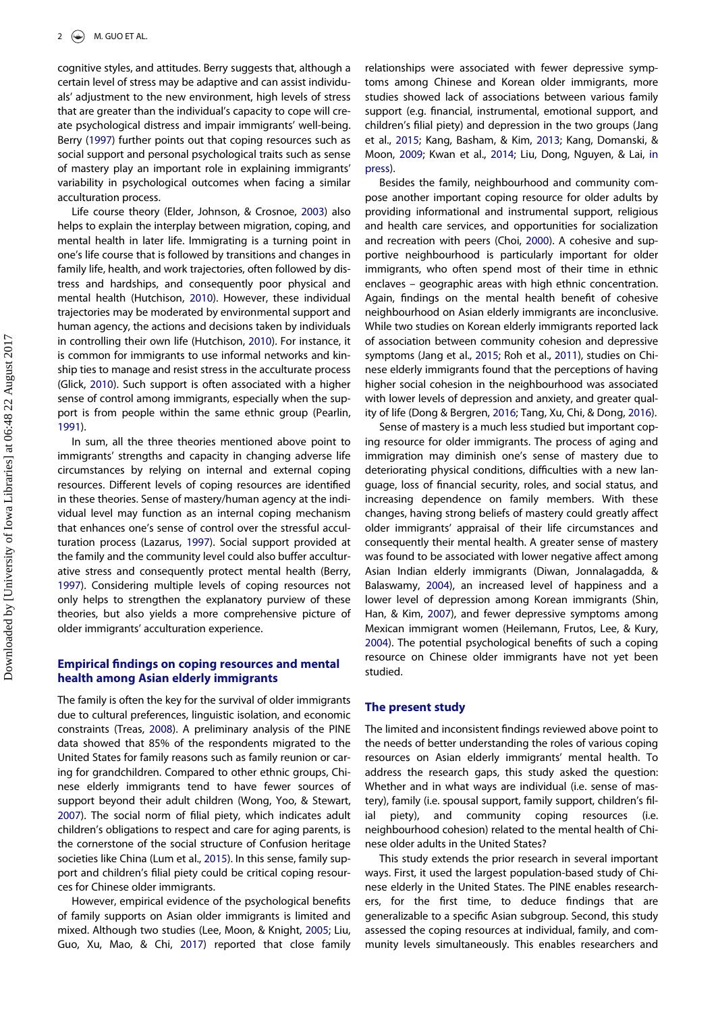<span id="page-1-9"></span>cognitive styles, and attitudes. Berry suggests that, although a certain level of stress may be adaptive and can assist individuals' adjustment to the new environment, high levels of stress that are greater than the individual's capacity to cope will create psychological distress and impair immigrants' well-being. Berry ([1997](#page-6-7)) further points out that coping resources such as social support and personal psychological traits such as sense of mastery play an important role in explaining immigrants' variability in psychological outcomes when facing a similar acculturation process.

<span id="page-1-10"></span><span id="page-1-4"></span><span id="page-1-1"></span>Life course theory (Elder, Johnson, & Crosnoe, [2003\)](#page-6-8) also helps to explain the interplay between migration, coping, and mental health in later life. Immigrating is a turning point in one's life course that is followed by transitions and changes in family life, health, and work trajectories, often followed by distress and hardships, and consequently poor physical and mental health (Hutchison, [2010\)](#page-6-9). However, these individual trajectories may be moderated by environmental support and human agency, the actions and decisions taken by individuals in controlling their own life (Hutchison, [2010\)](#page-6-9). For instance, it is common for immigrants to use informal networks and kinship ties to manage and resist stress in the acculturate process (Glick, [2010](#page-6-10)). Such support is often associated with a higher sense of control among immigrants, especially when the support is from people within the same ethnic group (Pearlin, [1991](#page-7-4)).

<span id="page-1-14"></span><span id="page-1-8"></span><span id="page-1-7"></span><span id="page-1-5"></span><span id="page-1-3"></span>In sum, all the three theories mentioned above point to immigrants' strengths and capacity in changing adverse life circumstances by relying on internal and external coping resources. Different levels of coping resources are identified in these theories. Sense of mastery/human agency at the individual level may function as an internal coping mechanism that enhances one's sense of control over the stressful acculturation process (Lazarus, [1997](#page-6-6)). Social support provided at the family and the community level could also buffer acculturative stress and consequently protect mental health (Berry, [1997](#page-6-7)). Considering multiple levels of coping resources not only helps to strengthen the explanatory purview of these theories, but also yields a more comprehensive picture of older immigrants' acculturation experience.

# <span id="page-1-15"></span><span id="page-1-6"></span><span id="page-1-2"></span><span id="page-1-0"></span>Empirical findings on coping resources and mental health among Asian elderly immigrants

<span id="page-1-17"></span><span id="page-1-16"></span>The family is often the key for the survival of older immigrants due to cultural preferences, linguistic isolation, and economic constraints (Treas, [2008](#page-7-5)). A preliminary analysis of the PINE data showed that 85% of the respondents migrated to the United States for family reasons such as family reunion or caring for grandchildren. Compared to other ethnic groups, Chinese elderly immigrants tend to have fewer sources of support beyond their adult children (Wong, Yoo, & Stewart, [2007](#page-7-6)). The social norm of filial piety, which indicates adult children's obligations to respect and care for aging parents, is the cornerstone of the social structure of Confusion heritage societies like China (Lum et al., [2015](#page-7-7)). In this sense, family support and children's filial piety could be critical coping resources for Chinese older immigrants.

<span id="page-1-13"></span><span id="page-1-12"></span><span id="page-1-11"></span>However, empirical evidence of the psychological benefits of family supports on Asian older immigrants is limited and mixed. Although two studies (Lee, Moon, & Knight, [2005](#page-6-11); Liu, Guo, Xu, Mao, & Chi, [2017](#page-7-8)) reported that close family relationships were associated with fewer depressive symptoms among Chinese and Korean older immigrants, more studies showed lack of associations between various family support (e.g. financial, instrumental, emotional support, and children's filial piety) and depression in the two groups (Jang et al., [2015](#page-6-12); Kang, Basham, & Kim, [2013;](#page-6-13) Kang, Domanski, & Moon, [2009](#page-6-14); Kwan et al., [2014](#page-6-15); Liu, Dong, Nguyen, & Lai, [in](#page-7-9) [press](#page-7-9)).

Besides the family, neighbourhood and community compose another important coping resource for older adults by providing informational and instrumental support, religious and health care services, and opportunities for socialization and recreation with peers (Choi, [2000\)](#page-6-16). A cohesive and supportive neighbourhood is particularly important for older immigrants, who often spend most of their time in ethnic enclaves – geographic areas with high ethnic concentration. Again, findings on the mental health benefit of cohesive neighbourhood on Asian elderly immigrants are inconclusive. While two studies on Korean elderly immigrants reported lack of association between community cohesion and depressive symptoms (Jang et al., [2015;](#page-6-12) Roh et al., [2011\)](#page-7-10), studies on Chinese elderly immigrants found that the perceptions of having higher social cohesion in the neighbourhood was associated with lower levels of depression and anxiety, and greater quality of life (Dong & Bergren, [2016](#page-6-17); Tang, Xu, Chi, & Dong, [2016\)](#page-7-11).

Sense of mastery is a much less studied but important coping resource for older immigrants. The process of aging and immigration may diminish one's sense of mastery due to deteriorating physical conditions, difficulties with a new language, loss of financial security, roles, and social status, and increasing dependence on family members. With these changes, having strong beliefs of mastery could greatly affect older immigrants' appraisal of their life circumstances and consequently their mental health. A greater sense of mastery was found to be associated with lower negative affect among Asian Indian elderly immigrants (Diwan, Jonnalagadda, & Balaswamy, [2004\)](#page-6-18), an increased level of happiness and a lower level of depression among Korean immigrants (Shin, Han, & Kim, [2007](#page-7-12)), and fewer depressive symptoms among Mexican immigrant women (Heilemann, Frutos, Lee, & Kury, [2004\)](#page-6-19). The potential psychological benefits of such a coping resource on Chinese older immigrants have not yet been studied.

# The present study

The limited and inconsistent findings reviewed above point to the needs of better understanding the roles of various coping resources on Asian elderly immigrants' mental health. To address the research gaps, this study asked the question: Whether and in what ways are individual (i.e. sense of mastery), family (i.e. spousal support, family support, children's filial piety), and community coping resources (i.e. neighbourhood cohesion) related to the mental health of Chinese older adults in the United States?

This study extends the prior research in several important ways. First, it used the largest population-based study of Chinese elderly in the United States. The PINE enables researchers, for the first time, to deduce findings that are generalizable to a specific Asian subgroup. Second, this study assessed the coping resources at individual, family, and community levels simultaneously. This enables researchers and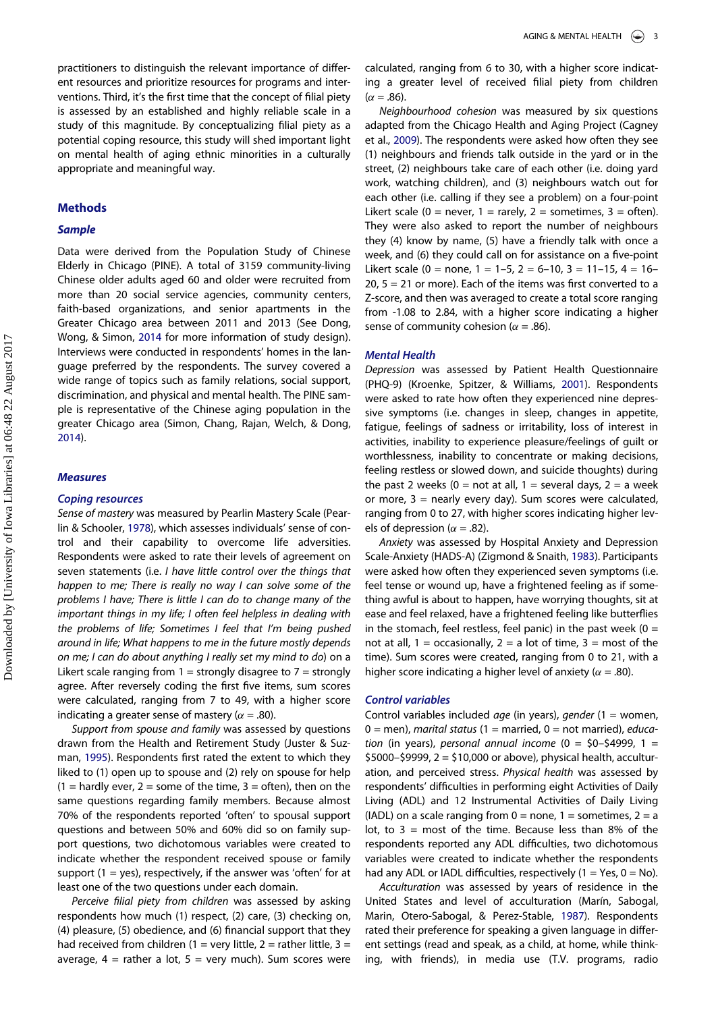<span id="page-2-0"></span>practitioners to distinguish the relevant importance of different resources and prioritize resources for programs and interventions. Third, it's the first time that the concept of filial piety is assessed by an established and highly reliable scale in a study of this magnitude. By conceptualizing filial piety as a potential coping resource, this study will shed important light on mental health of aging ethnic minorities in a culturally appropriate and meaningful way.

# **Methods**

# Sample

<span id="page-2-1"></span>Data were derived from the Population Study of Chinese Elderly in Chicago (PINE). A total of 3159 community-living Chinese older adults aged 60 and older were recruited from more than 20 social service agencies, community centers, faith-based organizations, and senior apartments in the Greater Chicago area between 2011 and 2013 (See Dong, Wong, & Simon, [2014](#page-6-20) for more information of study design). Interviews were conducted in respondents' homes in the language preferred by the respondents. The survey covered a wide range of topics such as family relations, social support, discrimination, and physical and mental health. The PINE sample is representative of the Chinese aging population in the greater Chicago area (Simon, Chang, Rajan, Welch, & Dong, [2014](#page-7-13)).

#### <span id="page-2-6"></span><span id="page-2-3"></span>**Measures**

<span id="page-2-7"></span><span id="page-2-5"></span>Sense of mastery was measured by Pearlin Mastery Scale (Pearlin & Schooler, [1978](#page-7-14)), which assesses individuals' sense of control and their capability to overcome life adversities. Respondents were asked to rate their levels of agreement on seven statements (i.e. I have little control over the things that happen to me; There is really no way I can solve some of the problems I have; There is little I can do to change many of the important things in my life; I often feel helpless in dealing with the problems of life; Sometimes I feel that I'm being pushed around in life; What happens to me in the future mostly depends on me; I can do about anything I really set my mind to do) on a Likert scale ranging from  $1 =$  strongly disagree to  $7 =$  strongly agree. After reversely coding the first five items, sum scores were calculated, ranging from 7 to 49, with a higher score indicating a greater sense of mastery ( $\alpha = .80$ ).

<span id="page-2-2"></span>Support from spouse and family was assessed by questions drawn from the Health and Retirement Study (Juster & Suzman, [1995\)](#page-6-21). Respondents first rated the extent to which they liked to (1) open up to spouse and (2) rely on spouse for help  $(1 = \text{hardly ever}, 2 = \text{some of the time}, 3 = \text{often}),$  then on the same questions regarding family members. Because almost 70% of the respondents reported 'often' to spousal support questions and between 50% and 60% did so on family support questions, two dichotomous variables were created to indicate whether the respondent received spouse or family support ( $1 = yes$ ), respectively, if the answer was 'often' for at least one of the two questions under each domain.

<span id="page-2-4"></span>Perceive filial piety from children was assessed by asking respondents how much (1) respect, (2) care, (3) checking on, (4) pleasure, (5) obedience, and (6) financial support that they had received from children (1 = very little, 2 = rather little, 3 = average,  $4 =$  rather a lot,  $5 =$  very much). Sum scores were

calculated, ranging from 6 to 30, with a higher score indicating a greater level of received filial piety from children  $(\alpha = .86)$ .

Neighbourhood cohesion was measured by six questions adapted from the Chicago Health and Aging Project (Cagney et al., [2009\)](#page-6-22). The respondents were asked how often they see (1) neighbours and friends talk outside in the yard or in the street, (2) neighbours take care of each other (i.e. doing yard work, watching children), and (3) neighbours watch out for each other (i.e. calling if they see a problem) on a four-point Likert scale (0 = never, 1 = rarely, 2 = sometimes, 3 = often). They were also asked to report the number of neighbours they (4) know by name, (5) have a friendly talk with once a week, and (6) they could call on for assistance on a five-point Likert scale (0 = none, 1 = 1-5, 2 = 6-10, 3 = 11-15, 4 = 16- $20, 5 = 21$  or more). Each of the items was first converted to a Z-score, and then was averaged to create a total score ranging from -1.08 to 2.84, with a higher score indicating a higher sense of community cohesion ( $\alpha = .86$ ).

#### **Mental Health**

Depression was assessed by Patient Health Questionnaire (PHQ-9) (Kroenke, Spitzer, & Williams, [2001](#page-6-23)). Respondents were asked to rate how often they experienced nine depressive symptoms (i.e. changes in sleep, changes in appetite, fatigue, feelings of sadness or irritability, loss of interest in activities, inability to experience pleasure/feelings of guilt or worthlessness, inability to concentrate or making decisions, feeling restless or slowed down, and suicide thoughts) during the past 2 weeks (0 = not at all, 1 = several days, 2 = a week or more,  $3$  = nearly every day). Sum scores were calculated, ranging from 0 to 27, with higher scores indicating higher levels of depression ( $\alpha$  = .82).

Anxiety was assessed by Hospital Anxiety and Depression Scale-Anxiety (HADS-A) (Zigmond & Snaith, [1983\)](#page-7-15). Participants were asked how often they experienced seven symptoms (i.e. feel tense or wound up, have a frightened feeling as if something awful is about to happen, have worrying thoughts, sit at ease and feel relaxed, have a frightened feeling like butterflies in the stomach, feel restless, feel panic) in the past week  $(0 =$ not at all,  $1 =$  occasionally,  $2 =$  a lot of time,  $3 =$  most of the time). Sum scores were created, ranging from 0 to 21, with a higher score indicating a higher level of anxiety ( $\alpha$  = .80).

Control variables Control variables included age (in years), gender (1 = women,  $0 =$  men), marital status (1 = married, 0 = not married), education (in years), personal annual income (0 =  $$0-$4999$ , 1 = \$5000–\$9999, 2 = \$10,000 or above), physical health, acculturation, and perceived stress. Physical health was assessed by respondents' difficulties in performing eight Activities of Daily Living (ADL) and 12 Instrumental Activities of Daily Living (IADL) on a scale ranging from  $0 =$  none,  $1 =$  sometimes,  $2 =$  a lot, to  $3 = \text{most of the time}$ . Because less than 8% of the respondents reported any ADL difficulties, two dichotomous variables were created to indicate whether the respondents had any ADL or IADL difficulties, respectively  $(1 = Yes, 0 = No)$ .

Acculturation was assessed by years of residence in the United States and level of acculturation (Marín, Sabogal, Marin, Otero-Sabogal, & Perez-Stable, [1987\)](#page-7-16). Respondents rated their preference for speaking a given language in different settings (read and speak, as a child, at home, while thinking, with friends), in media use (T.V. programs, radio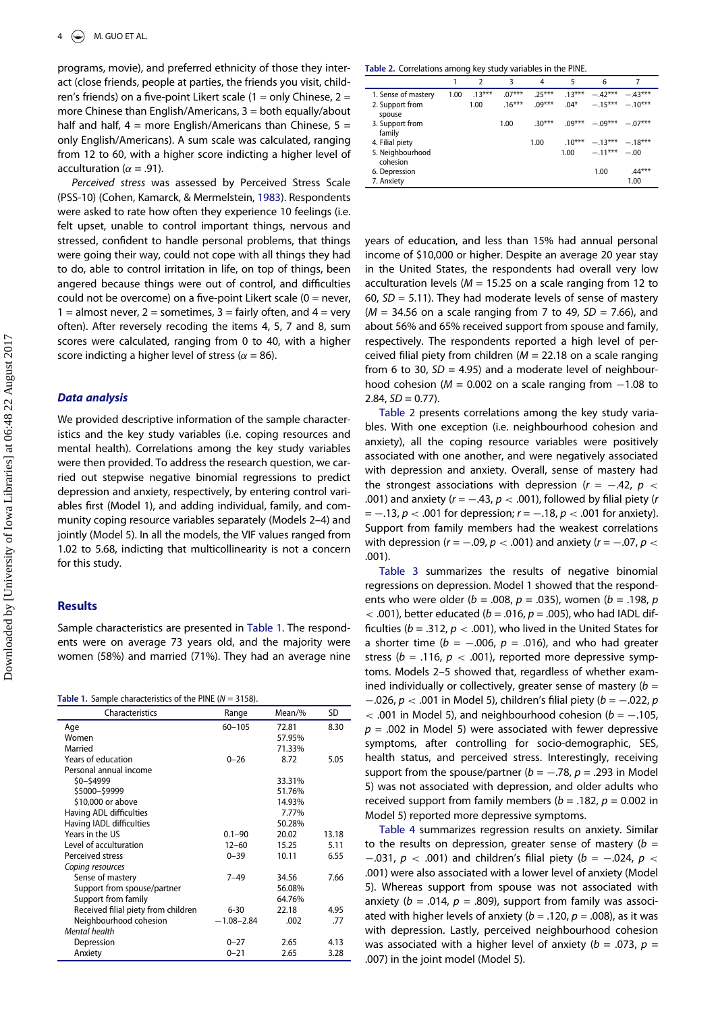<span id="page-3-1"></span>programs, movie), and preferred ethnicity of those they interact (close friends, people at parties, the friends you visit, children's friends) on a five-point Likert scale (1 = only Chinese, 2 = more Chinese than English/Americans, 3 = both equally/about half and half,  $4 =$  more English/Americans than Chinese,  $5 =$ only English/Americans). A sum scale was calculated, ranging from 12 to 60, with a higher score indicting a higher level of acculturation ( $\alpha = .91$ ).

<span id="page-3-2"></span>Perceived stress was assessed by Perceived Stress Scale (PSS-10) (Cohen, Kamarck, & Mermelstein, [1983\)](#page-6-24). Respondents were asked to rate how often they experience 10 feelings (i.e. felt upset, unable to control important things, nervous and stressed, confident to handle personal problems, that things were going their way, could not cope with all things they had to do, able to control irritation in life, on top of things, been angered because things were out of control, and difficulties could not be overcome) on a five-point Likert scale ( $0 =$  never, 1 = almost never, 2 = sometimes, 3 = fairly often, and 4 = very often). After reversely recoding the items 4, 5, 7 and 8, sum scores were calculated, ranging from 0 to 40, with a higher score indicting a higher level of stress ( $\alpha$  = 86).

### Data analysis

We provided descriptive information of the sample characteristics and the key study variables (i.e. coping resources and mental health). Correlations among the key study variables were then provided. To address the research question, we carried out stepwise negative binomial regressions to predict depression and anxiety, respectively, by entering control variables first (Model 1), and adding individual, family, and community coping resource variables separately (Models 2–4) and jointly (Model 5). In all the models, the VIF values ranged from 1.02 to 5.68, indicting that multicollinearity is not a concern for this study.

#### Results

Sample characteristics are presented in [Table 1.](#page-3-0) The respondents were on average 73 years old, and the majority were women (58%) and married (71%). They had an average nine

|  |  | Table 1. Sample characteristics of the PINE ( $N = 3158$ ) |  |  |  |  |
|--|--|------------------------------------------------------------|--|--|--|--|
|--|--|------------------------------------------------------------|--|--|--|--|

<span id="page-3-0"></span>

| <b>Table 1.</b> Sample characteristics of the PINE ( $N = 3158$ ). |                |        |           |  |  |  |
|--------------------------------------------------------------------|----------------|--------|-----------|--|--|--|
| Characteristics                                                    | Range          | Mean/% | <b>SD</b> |  |  |  |
| Age                                                                | $60 - 105$     | 72.81  | 8.30      |  |  |  |
| Women                                                              |                | 57.95% |           |  |  |  |
| Married                                                            |                | 71.33% |           |  |  |  |
| Years of education                                                 | $0 - 26$       | 8.72   | 5.05      |  |  |  |
| Personal annual income                                             |                |        |           |  |  |  |
| \$0-\$4999                                                         |                | 33.31% |           |  |  |  |
| \$5000-\$9999                                                      |                | 51.76% |           |  |  |  |
| \$10,000 or above                                                  |                | 14.93% |           |  |  |  |
| Having ADL difficulties                                            |                | 7.77%  |           |  |  |  |
| Having IADL difficulties                                           |                | 50.28% |           |  |  |  |
| Years in the US                                                    | $0.1 - 90$     | 20.02  | 13.18     |  |  |  |
| Level of acculturation                                             | $12 - 60$      | 15.25  | 5.11      |  |  |  |
| Perceived stress                                                   | $0 - 39$       | 10.11  | 6.55      |  |  |  |
| Coping resources                                                   |                |        |           |  |  |  |
| Sense of mastery                                                   | $7 - 49$       | 34.56  | 7.66      |  |  |  |
| Support from spouse/partner                                        |                | 56.08% |           |  |  |  |
| Support from family                                                |                | 64.76% |           |  |  |  |
| Received filial piety from children                                | $6 - 30$       | 22.18  | 4.95      |  |  |  |
| Neighbourhood cohesion                                             | $-1.08 - 2.84$ | .002   | .77       |  |  |  |
| Mental health                                                      |                |        |           |  |  |  |
| Depression                                                         | $0 - 27$       | 2.65   | 4.13      |  |  |  |
| Anxiety                                                            | $0 - 21$       | 2.65   | 3.28      |  |  |  |

#### Table 2. Correlations among key study variables in the PINE.

|                              |      | $\mathcal{P}$ | ξ        | 4        | 5        | 6                   |                   |
|------------------------------|------|---------------|----------|----------|----------|---------------------|-------------------|
| 1. Sense of mastery          | 1.00 | $13***$       | $07***$  | $25***$  | $13***$  | $-42***$            | $-43***$          |
| 2. Support from<br>spouse    |      | 1.00          | $.16***$ | $.09***$ | $04*$    |                     | $-15***$ $-10***$ |
| 3. Support from<br>family    |      |               | 1.00     | $.30***$ | $.09***$ | $-.09***$ $-.07***$ |                   |
| 4. Filial piety              |      |               |          | 1.00     | $.10***$ | $-13***$            | $-.18***$         |
| 5. Neighbourhood<br>cohesion |      |               |          |          | 1.00     | $-.11***$           | $-00$             |
| 6. Depression                |      |               |          |          |          | 1.00                | $.44***$          |
| 7. Anxiety                   |      |               |          |          |          |                     | 1.00              |
|                              |      |               |          |          |          |                     |                   |

years of education, and less than 15% had annual personal income of \$10,000 or higher. Despite an average 20 year stay in the United States, the respondents had overall very low acculturation levels ( $M = 15.25$  on a scale ranging from 12 to 60,  $SD = 5.11$ ). They had moderate levels of sense of mastery  $(M = 34.56$  on a scale ranging from 7 to 49,  $SD = 7.66$ ), and about 56% and 65% received support from spouse and family, respectively. The respondents reported a high level of perceived filial piety from children ( $M = 22.18$  on a scale ranging from 6 to 30,  $SD = 4.95$ ) and a moderate level of neighbourhood cohesion ( $M = 0.002$  on a scale ranging from  $-1.08$  to  $2.84, SD = 0.77$ ).

[Table 2](#page-3-1) presents correlations among the key study variables. With one exception (i.e. neighbourhood cohesion and anxiety), all the coping resource variables were positively associated with one another, and were negatively associated with depression and anxiety. Overall, sense of mastery had the strongest associations with depression ( $r = -.42$ ,  $p <$ .001) and anxiety ( $r = -.43$ ,  $p < .001$ ), followed by filial piety ( $r =$  $= -.13, p < .001$  for depression;  $r = -.18, p < .001$  for anxiety). Support from family members had the weakest correlations with depression ( $r = -.09$ ,  $p < .001$ ) and anxiety ( $r = -.07$ ,  $p <$ .001).

[Table 3](#page-4-0) summarizes the results of negative binomial regressions on depression. Model 1 showed that the respondents who were older ( $b = .008$ ,  $p = .035$ ), women ( $b = .198$ , p  $<$  .001), better educated ( $b = .016$ ,  $p = .005$ ), who had IADL difficulties ( $b = .312$ ,  $p < .001$ ), who lived in the United States for a shorter time ( $b = -.006$ ,  $p = .016$ ), and who had greater stress ( $b = .116$ ,  $p < .001$ ), reported more depressive symptoms. Models 2–5 showed that, regardless of whether examined individually or collectively, greater sense of mastery ( $b =$  $-0.026$ ,  $p < 0.001$  in Model 5), children's filial piety ( $b = -.022$ , p  $<$  .001 in Model 5), and neighbourhood cohesion ( $b = -.105$ ,  $p = .002$  in Model 5) were associated with fewer depressive symptoms, after controlling for socio-demographic, SES, health status, and perceived stress. Interestingly, receiving support from the spouse/partner ( $b = -.78$ ,  $p = .293$  in Model 5) was not associated with depression, and older adults who received support from family members ( $b = .182$ ,  $p = 0.002$  in Model 5) reported more depressive symptoms.

[Table 4](#page-4-1) summarizes regression results on anxiety. Similar to the results on depression, greater sense of mastery ( $b =$  $-0.031$ ,  $p < .001$ ) and children's filial piety ( $b = -.024$ ,  $p <$ .001) were also associated with a lower level of anxiety (Model 5). Whereas support from spouse was not associated with anxiety ( $b = .014$ ,  $p = .809$ ), support from family was associated with higher levels of anxiety ( $b = .120$ ,  $p = .008$ ), as it was with depression. Lastly, perceived neighbourhood cohesion was associated with a higher level of anxiety ( $b = .073$ ,  $p =$ .007) in the joint model (Model 5).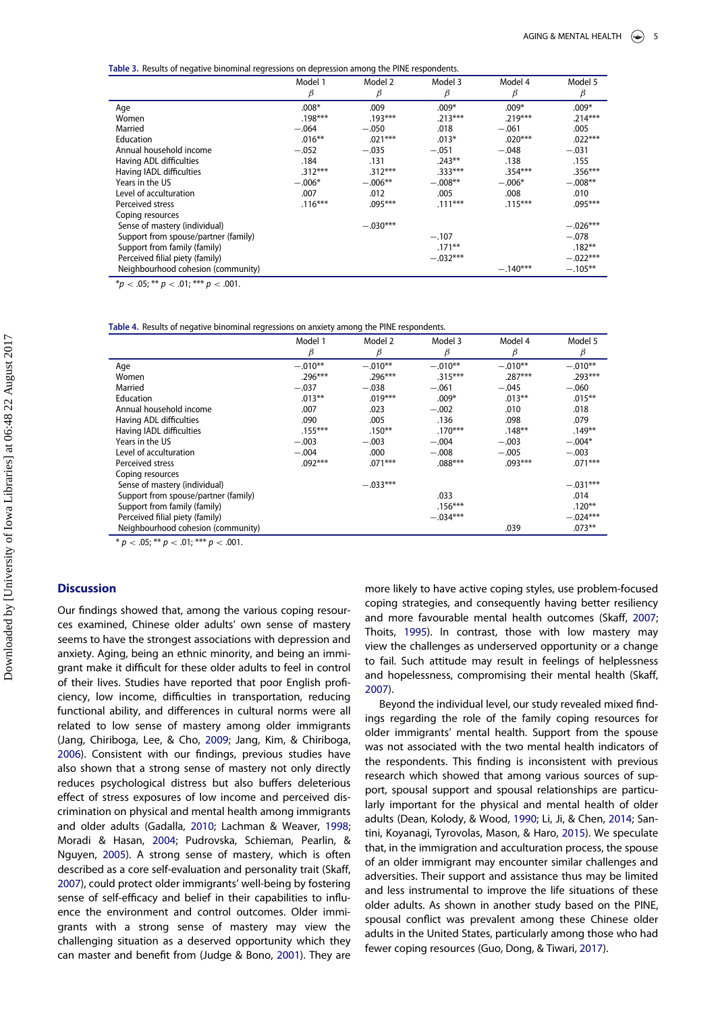Table 3. Results of negative binominal regressions on depression among the PINE respondents.

|                                      | Model 1   | Model 2    | Model 3    | Model 4    | Model 5    |
|--------------------------------------|-----------|------------|------------|------------|------------|
|                                      | β         | β          | ß          | β          | β          |
| Age                                  | $.008*$   | .009       | $.009*$    | $.009*$    | $.009*$    |
| Women                                | $.198***$ | $.193***$  | $.213***$  | $.219***$  | $.214***$  |
| Married                              | $-.064$   | $-.050$    | .018       | $-.061$    | .005       |
| Education                            | $.016***$ | $.021***$  | $.013*$    | $.020***$  | $.022***$  |
| Annual household income              | $-.052$   | $-.035$    | $-.051$    | $-.048$    | $-.031$    |
| Having ADL difficulties              | .184      | .131       | $.243**$   | .138       | .155       |
| Having IADL difficulties             | $.312***$ | $.312***$  | $.333***$  | $.354***$  | $.356***$  |
| Years in the US                      | $-.006*$  | $-.006**$  | $-.008**$  | $-.006*$   | $-.008**$  |
| Level of acculturation               | .007      | .012       | .005       | .008       | .010       |
| Perceived stress                     | $.116***$ | $.095***$  | $.111***$  | $.115***$  | $.095***$  |
| Coping resources                     |           |            |            |            |            |
| Sense of mastery (individual)        |           | $-.030***$ |            |            | $-.026***$ |
| Support from spouse/partner (family) |           |            | $-.107$    |            | $-.078$    |
| Support from family (family)         |           |            | $.171***$  |            | $.182***$  |
| Perceived filial piety (family)      |           |            | $-.032***$ |            | $-.022***$ |
| Neighbourhood cohesion (community)   |           |            |            | $-.140***$ | $-.105***$ |
|                                      |           |            |            |            |            |

<span id="page-4-0"></span> $\frac{p}{p}$  < .05; \*\* p < .01; \*\*\* p < .001.

#### Table 4. Results of negative binominal regressions on anxiety among the PINE respondents.

|                                      | Model 1   | Model 2    | Model 3    | Model 4   | Model 5    |
|--------------------------------------|-----------|------------|------------|-----------|------------|
|                                      | β         | β          | β          | ß         | β          |
| Age                                  | $-.010**$ | $-.010**$  | $-.010**$  | $-.010**$ | $-.010**$  |
| Women                                | $.296***$ | $.296***$  | $.315***$  | $.287***$ | $.293***$  |
| Married                              | $-.037$   | $-.038$    | $-.061$    | $-.045$   | $-.060$    |
| Education                            | $.013***$ | $.019***$  | $.009*$    | $.013***$ | $.015***$  |
| Annual household income              | .007      | .023       | $-.002$    | .010      | .018       |
| Having ADL difficulties              | .090      | .005       | .136       | .098      | .079       |
| Having IADL difficulties             | $.155***$ | $.150***$  | $.170***$  | $.148***$ | $.149***$  |
| Years in the US                      | $-.003$   | $-.003$    | $-.004$    | $-.003$   | $-.004*$   |
| Level of acculturation               | $-.004$   | .000       | $-.008$    | $-.005$   | $-.003$    |
| Perceived stress                     | $.092***$ | $.071***$  | $.088***$  | $.093***$ | $.071***$  |
| Coping resources                     |           |            |            |           |            |
| Sense of mastery (individual)        |           | $-.033***$ |            |           | $-.031***$ |
| Support from spouse/partner (family) |           |            | .033       |           | .014       |
| Support from family (family)         |           |            | $.156***$  |           | $.120***$  |
| Perceived filial piety (family)      |           |            | $-.034***$ |           | $-.024***$ |
| Neighbourhood cohesion (community)   |           |            |            | .039      | $.073**$   |

\*  $p < .05$ ; \*\*  $p < .01$ ; \*\*\*  $p < .001$ .

# <span id="page-4-1"></span>**Discussion**

<span id="page-4-11"></span><span id="page-4-10"></span><span id="page-4-9"></span><span id="page-4-8"></span><span id="page-4-7"></span><span id="page-4-6"></span><span id="page-4-5"></span><span id="page-4-4"></span><span id="page-4-3"></span><span id="page-4-2"></span>Our findings showed that, among the various coping resources examined, Chinese older adults' own sense of mastery seems to have the strongest associations with depression and anxiety. Aging, being an ethnic minority, and being an immigrant make it difficult for these older adults to feel in control of their lives. Studies have reported that poor English proficiency, low income, difficulties in transportation, reducing functional ability, and differences in cultural norms were all related to low sense of mastery among older immigrants (Jang, Chiriboga, Lee, & Cho, [2009](#page-6-25); Jang, Kim, & Chiriboga, [2006](#page-6-26)). Consistent with our findings, previous studies have also shown that a strong sense of mastery not only directly reduces psychological distress but also buffers deleterious effect of stress exposures of low income and perceived discrimination on physical and mental health among immigrants and older adults (Gadalla, [2010;](#page-6-27) Lachman & Weaver, [1998;](#page-6-28) Moradi & Hasan, [2004](#page-7-17); Pudrovska, Schieman, Pearlin, & Nguyen, [2005\)](#page-7-18). A strong sense of mastery, which is often described as a core self-evaluation and personality trait (Skaff, [2007](#page-7-19)), could protect older immigrants' well-being by fostering sense of self-efficacy and belief in their capabilities to influence the environment and control outcomes. Older immigrants with a strong sense of mastery may view the challenging situation as a deserved opportunity which they can master and benefit from (Judge & Bono, [2001\)](#page-6-29). They are

more likely to have active coping styles, use problem-focused coping strategies, and consequently having better resiliency and more favourable mental health outcomes (Skaff, [2007;](#page-7-19) Thoits, [1995](#page-7-20)). In contrast, those with low mastery may view the challenges as underserved opportunity or a change to fail. Such attitude may result in feelings of helplessness and hopelessness, compromising their mental health (Skaff, [2007\)](#page-7-19).

Beyond the individual level, our study revealed mixed findings regarding the role of the family coping resources for older immigrants' mental health. Support from the spouse was not associated with the two mental health indicators of the respondents. This finding is inconsistent with previous research which showed that among various sources of support, spousal support and spousal relationships are particularly important for the physical and mental health of older adults (Dean, Kolody, & Wood, [1990](#page-6-30); Li, Ji, & Chen, [2014;](#page-7-21) Santini, Koyanagi, Tyrovolas, Mason, & Haro, [2015\)](#page-7-22). We speculate that, in the immigration and acculturation process, the spouse of an older immigrant may encounter similar challenges and adversities. Their support and assistance thus may be limited and less instrumental to improve the life situations of these older adults. As shown in another study based on the PINE, spousal conflict was prevalent among these Chinese older adults in the United States, particularly among those who had fewer coping resources (Guo, Dong, & Tiwari, [2017](#page-6-31)).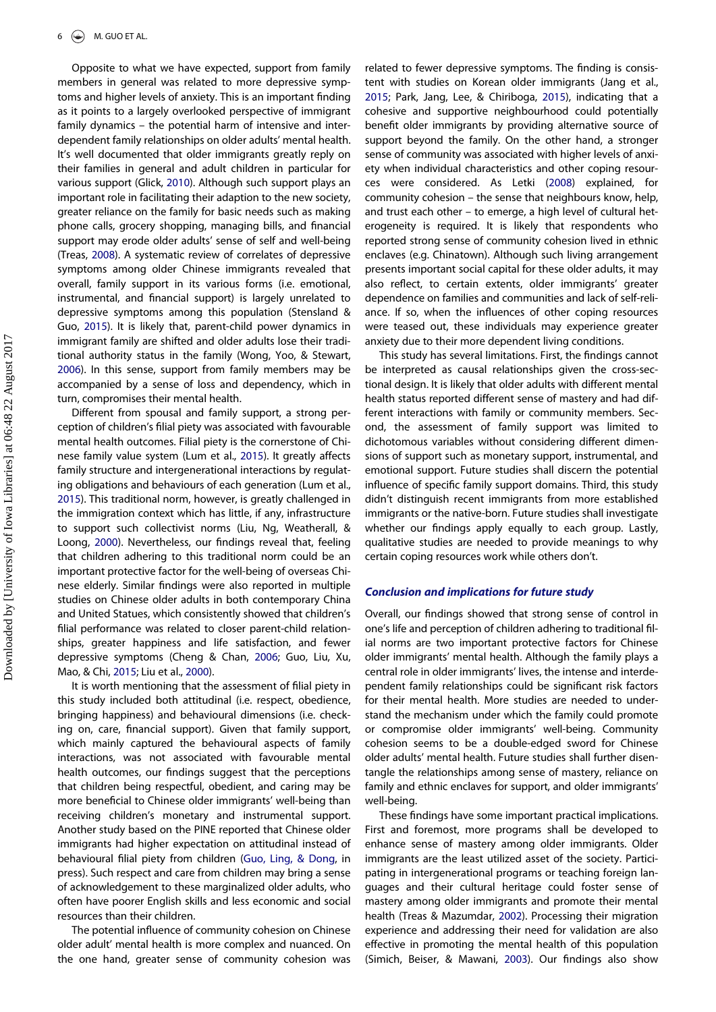<span id="page-5-4"></span><span id="page-5-3"></span>Opposite to what we have expected, support from family members in general was related to more depressive symptoms and higher levels of anxiety. This is an important finding as it points to a largely overlooked perspective of immigrant family dynamics – the potential harm of intensive and interdependent family relationships on older adults' mental health. It's well documented that older immigrants greatly reply on their families in general and adult children in particular for various support (Glick, [2010\)](#page-6-10). Although such support plays an important role in facilitating their adaption to the new society, greater reliance on the family for basic needs such as making phone calls, grocery shopping, managing bills, and financial support may erode older adults' sense of self and well-being (Treas, [2008](#page-7-5)). A systematic review of correlates of depressive symptoms among older Chinese immigrants revealed that overall, family support in its various forms (i.e. emotional, instrumental, and financial support) is largely unrelated to depressive symptoms among this population (Stensland & Guo, [2015](#page-7-23)). It is likely that, parent-child power dynamics in immigrant family are shifted and older adults lose their traditional authority status in the family (Wong, Yoo, & Stewart, [2006](#page-7-24)). In this sense, support from family members may be accompanied by a sense of loss and dependency, which in turn, compromises their mental health.

<span id="page-5-8"></span><span id="page-5-6"></span>Different from spousal and family support, a strong perception of children's filial piety was associated with favourable mental health outcomes. Filial piety is the cornerstone of Chinese family value system (Lum et al., [2015](#page-7-7)). It greatly affects family structure and intergenerational interactions by regulating obligations and behaviours of each generation (Lum et al., [2015](#page-7-7)). This traditional norm, however, is greatly challenged in the immigration context which has little, if any, infrastructure to support such collectivist norms (Liu, Ng, Weatherall, & Loong, [2000\)](#page-7-25). Nevertheless, our findings reveal that, feeling that children adhering to this traditional norm could be an important protective factor for the well-being of overseas Chinese elderly. Similar findings were also reported in multiple studies on Chinese older adults in both contemporary China and United Statues, which consistently showed that children's filial performance was related to closer parent-child relationships, greater happiness and life satisfaction, and fewer depressive symptoms (Cheng & Chan, [2006](#page-6-32); Guo, Liu, Xu, Mao, & Chi, [2015](#page-6-33); Liu et al., [2000\)](#page-7-25).

<span id="page-5-2"></span><span id="page-5-0"></span>It is worth mentioning that the assessment of filial piety in this study included both attitudinal (i.e. respect, obedience, bringing happiness) and behavioural dimensions (i.e. checking on, care, financial support). Given that family support, which mainly captured the behavioural aspects of family interactions, was not associated with favourable mental health outcomes, our findings suggest that the perceptions that children being respectful, obedient, and caring may be more beneficial to Chinese older immigrants' well-being than receiving children's monetary and instrumental support. Another study based on the PINE reported that Chinese older immigrants had higher expectation on attitudinal instead of behavioural filial piety from children ([Guo, Ling, & Dong,](#page-6-34) in press). Such respect and care from children may bring a sense of acknowledgement to these marginalized older adults, who often have poorer English skills and less economic and social resources than their children.

<span id="page-5-7"></span><span id="page-5-5"></span><span id="page-5-1"></span>The potential influence of community cohesion on Chinese older adult' mental health is more complex and nuanced. On the one hand, greater sense of community cohesion was related to fewer depressive symptoms. The finding is consistent with studies on Korean older immigrants (Jang et al., [2015;](#page-6-12) Park, Jang, Lee, & Chiriboga, [2015](#page-7-26)), indicating that a cohesive and supportive neighbourhood could potentially benefit older immigrants by providing alternative source of support beyond the family. On the other hand, a stronger sense of community was associated with higher levels of anxiety when individual characteristics and other coping resources were considered. As Letki [\(2008\)](#page-6-35) explained, for community cohesion – the sense that neighbours know, help, and trust each other – to emerge, a high level of cultural heterogeneity is required. It is likely that respondents who reported strong sense of community cohesion lived in ethnic enclaves (e.g. Chinatown). Although such living arrangement presents important social capital for these older adults, it may also reflect, to certain extents, older immigrants' greater dependence on families and communities and lack of self-reliance. If so, when the influences of other coping resources were teased out, these individuals may experience greater anxiety due to their more dependent living conditions.

This study has several limitations. First, the findings cannot be interpreted as causal relationships given the cross-sectional design. It is likely that older adults with different mental health status reported different sense of mastery and had different interactions with family or community members. Second, the assessment of family support was limited to dichotomous variables without considering different dimensions of support such as monetary support, instrumental, and emotional support. Future studies shall discern the potential influence of specific family support domains. Third, this study didn't distinguish recent immigrants from more established immigrants or the native-born. Future studies shall investigate whether our findings apply equally to each group. Lastly, qualitative studies are needed to provide meanings to why certain coping resources work while others don't.

#### Conclusion and implications for future study

Overall, our findings showed that strong sense of control in one's life and perception of children adhering to traditional filial norms are two important protective factors for Chinese older immigrants' mental health. Although the family plays a central role in older immigrants' lives, the intense and interdependent family relationships could be significant risk factors for their mental health. More studies are needed to understand the mechanism under which the family could promote or compromise older immigrants' well-being. Community cohesion seems to be a double-edged sword for Chinese older adults' mental health. Future studies shall further disentangle the relationships among sense of mastery, reliance on family and ethnic enclaves for support, and older immigrants' well-being.

These findings have some important practical implications. First and foremost, more programs shall be developed to enhance sense of mastery among older immigrants. Older immigrants are the least utilized asset of the society. Participating in intergenerational programs or teaching foreign languages and their cultural heritage could foster sense of mastery among older immigrants and promote their mental health (Treas & Mazumdar, [2002](#page-7-27)). Processing their migration experience and addressing their need for validation are also effective in promoting the mental health of this population (Simich, Beiser, & Mawani, [2003\)](#page-7-28). Our findings also show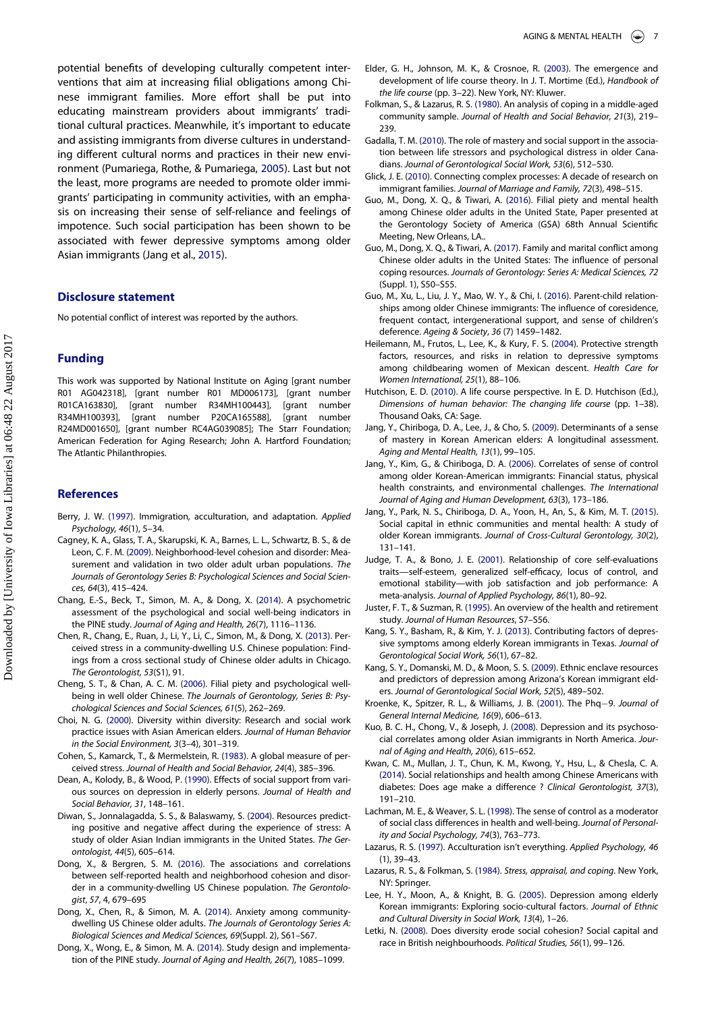<span id="page-6-36"></span><span id="page-6-27"></span><span id="page-6-10"></span><span id="page-6-8"></span><span id="page-6-4"></span>potential benefits of developing culturally competent interventions that aim at increasing filial obligations among Chinese immigrant families. More effort shall be put into educating mainstream providers about immigrants' traditional cultural practices. Meanwhile, it's important to educate and assisting immigrants from diverse cultures in understanding different cultural norms and practices in their new environment (Pumariega, Rothe, & Pumariega, [2005](#page-7-29)). Last but not the least, more programs are needed to promote older immigrants' participating in community activities, with an emphasis on increasing their sense of self-reliance and feelings of impotence. Such social participation has been shown to be associated with fewer depressive symptoms among older Asian immigrants (Jang et al., [2015](#page-6-12)).

# <span id="page-6-34"></span><span id="page-6-33"></span><span id="page-6-31"></span>Disclosure statement

No potential conflict of interest was reported by the authors.

# <span id="page-6-19"></span>Funding

<span id="page-6-25"></span><span id="page-6-9"></span>This work was supported by National Institute on Aging [grant number R01 AG042318], [grant number R01 MD006173], [grant number R01CA163830], [grant number R34MH100443], [grant number R34MH100393], [grant number P20CA165588], [grant number R24MD001650], [grant number RC4AG039085]; The Starr Foundation; American Federation for Aging Research; John A. Hartford Foundation; The Atlantic Philanthropies.

# <span id="page-6-26"></span>**References**

- <span id="page-6-12"></span><span id="page-6-7"></span>Berry, J. W. [\(1997\)](#page-1-0). Immigration, acculturation, and adaptation. Applied Psychology, 46(1), 5–34.
- <span id="page-6-29"></span><span id="page-6-22"></span>Cagney, K. A., Glass, T. A., Skarupski, K. A., Barnes, L. L., Schwartz, B. S., & de Leon, C. F. M. [\(2009\)](#page-2-0). Neighborhood-level cohesion and disorder: Measurement and validation in two older adult urban populations. The Journals of Gerontology Series B: Psychological Sciences and Social Sciences, 64(3), 415–424.
- <span id="page-6-21"></span><span id="page-6-1"></span>Chang, E.-S., Beck, T., Simon, M. A., & Dong, X. [\(2014\)](#page-0-1). A psychometric assessment of the psychological and social well-being indicators in the PINE study. Journal of Aging and Health, 26(7), 1116–1136.
- <span id="page-6-13"></span><span id="page-6-2"></span>Chen, R., Chang, E., Ruan, J., Li, Y., Li, C., Simon, M., & Dong, X. [\(2013](#page-0-2)). Perceived stress in a community-dwelling U.S. Chinese population: Findings from a cross sectional study of Chinese older adults in Chicago. The Gerontologist, 53(S1), 91.
- <span id="page-6-32"></span><span id="page-6-23"></span><span id="page-6-14"></span>Cheng, S. T., & Chan, A. C. M. [\(2006\)](#page-5-0). Filial piety and psychological wellbeing in well older Chinese. The Journals of Gerontology, Series B: Psychological Sciences and Social Sciences, 61(5), 262–269.
- <span id="page-6-16"></span><span id="page-6-0"></span>Choi, N. G. ([2000](#page-1-1)). Diversity within diversity: Research and social work practice issues with Asian American elders. Journal of Human Behavior in the Social Environment, 3(3–4), 301–319.
- <span id="page-6-24"></span><span id="page-6-15"></span>Cohen, S., Kamarck, T., & Mermelstein, R. [\(1983\)](#page-3-2). A global measure of perceived stress. Journal of Health and Social Behavior, 24(4), 385–396.
- <span id="page-6-30"></span>Dean, A., Kolody, B., & Wood, P. ([1990](#page-4-2)). Effects of social support from various sources on depression in elderly persons. Journal of Health and Social Behavior, 31, 148–161.
- <span id="page-6-28"></span><span id="page-6-18"></span>Diwan, S., Jonnalagadda, S. S., & Balaswamy, S. ([2004](#page-1-2)). Resources predicting positive and negative affect during the experience of stress: A study of older Asian Indian immigrants in the United States. The Gerontologist, 44(5), 605–614.
- <span id="page-6-17"></span><span id="page-6-6"></span><span id="page-6-5"></span>Dong, X., & Bergren, S. M. [\(2016](#page-1-3)). The associations and correlations between self-reported health and neighborhood cohesion and disorder in a community-dwelling US Chinese population. The Gerontologist, 57, 4, 679–695
- <span id="page-6-35"></span><span id="page-6-11"></span><span id="page-6-3"></span>Dong, X., Chen, R., & Simon, M. A. ([2014\)](#page-0-2). Anxiety among communitydwelling US Chinese older adults. The Journals of Gerontology Series A: Biological Sciences and Medical Sciences, 69(Suppl. 2), S61–S67.
- <span id="page-6-20"></span>Dong, X., Wong, E., & Simon, M. A. [\(2014](#page-2-1)). Study design and implementation of the PINE study. Journal of Aging and Health, 26(7), 1085–1099.
- Elder, G. H., Johnson, M. K., & Crosnoe, R. ([2003\)](#page-1-4). The emergence and development of life course theory. In J. T. Mortime (Ed.), Handbook of the life course (pp. 3–22). New York, NY: Kluwer.
- Folkman, S., & Lazarus, R. S. [\(1980](#page-0-3)). An analysis of coping in a middle-aged community sample. Journal of Health and Social Behavior, 21(3), 219– 239.
- Gadalla, T. M. [\(2010](#page-4-3)). The role of mastery and social support in the association between life stressors and psychological distress in older Canadians. Journal of Gerontological Social Work, 53(6), 512–530.
- Glick, J. E. [\(2010](#page-1-5)). Connecting complex processes: A decade of research on immigrant families. Journal of Marriage and Family, 72(3), 498–515.
- Guo, M., Dong, X. Q., & Tiwari, A. [\(2016](#page-5-1)). Filial piety and mental health among Chinese older adults in the United State, Paper presented at the Gerontology Society of America (GSA) 68th Annual Scientific Meeting, New Orleans, LA..
- Guo, M., Dong, X. Q., & Tiwari, A. ([2017\)](#page-4-4). Family and marital conflict among Chinese older adults in the United States: The influence of personal coping resources. Journals of Gerontology: Series A: Medical Sciences, 72 (Suppl. 1), S50–S55.
- Guo, M., Xu, L., Liu, J. Y., Mao, W. Y., & Chi, I. ([2016](#page-5-2)). Parent-child relationships among older Chinese immigrants: The influence of coresidence, frequent contact, intergenerational support, and sense of children's deference. Ageing & Society, 36 (7) 1459–1482.
- Heilemann, M., Frutos, L., Lee, K., & Kury, F. S. ([2004](#page-1-6)). Protective strength factors, resources, and risks in relation to depressive symptoms among childbearing women of Mexican descent. Health Care for Women International, 25(1), 88–106.
- Hutchison, E. D. ([2010\)](#page-1-7). A life course perspective. In E. D. Hutchison (Ed.), Dimensions of human behavior: The changing life course (pp. 1–38). Thousand Oaks, CA: Sage.
- Jang, Y., Chiriboga, D. A., Lee, J., & Cho, S. ([2009\)](#page-4-5). Determinants of a sense of mastery in Korean American elders: A longitudinal assessment. Aging and Mental Health, 13(1), 99–105.
- Jang, Y., Kim, G., & Chiriboga, D. A. ([2006\)](#page-4-5). Correlates of sense of control among older Korean-American immigrants: Financial status, physical health constraints, and environmental challenges. The International Journal of Aging and Human Development, 63(3), 173–186.
- Jang, Y., Park, N. S., Chiriboga, D. A., Yoon, H., An, S., & Kim, M. T. [\(2015\)](#page-1-8). Social capital in ethnic communities and mental health: A study of older Korean immigrants. Journal of Cross-Cultural Gerontology, 30(2), 131–141.
- Judge, T. A., & Bono, J. E. ([2001](#page-4-6)). Relationship of core self-evaluations traits—self-esteem, generalized self-efficacy, locus of control, and emotional stability—with job satisfaction and job performance: A meta-analysis. Journal of Applied Psychology, 86(1), 80–92.
- Juster, F. T., & Suzman, R. ([1995](#page-2-2)). An overview of the health and retirement study. Journal of Human Resources, S7–S56.
- Kang, S. Y., Basham, R., & Kim, Y. J. [\(2013](#page-1-9)). Contributing factors of depressive symptoms among elderly Korean immigrants in Texas. Journal of Gerontological Social Work, 56(1), 67–82.
- Kang, S. Y., Domanski, M. D., & Moon, S. S. [\(2009](#page-1-10)). Ethnic enclave resources and predictors of depression among Arizona's Korean immigrant elders. Journal of Gerontological Social Work, 52(5), 489–502.
- Kroenke, K., Spitzer, R. L., & Williams, J. B. ([2001](#page-2-3)). The Phq-9. Journal of General Internal Medicine, 16(9), 606–613.
- Kuo, B. C. H., Chong, V., & Joseph, J. [\(2008](#page-0-4)). Depression and its psychosocial correlates among older Asian immigrants in North America. Journal of Aging and Health, 20(6), 615–652.
- Kwan, C. M., Mullan, J. T., Chun, K. M., Kwong, Y., Hsu, L., & Chesla, C. A. ([2014](#page-1-10)). Social relationships and health among Chinese Americans with diabetes: Does age make a difference ? Clinical Gerontologist, 37(3), 191–210.
- Lachman, M. E., & Weaver, S. L. ([1998\)](#page-4-3). The sense of control as a moderator of social class differences in health and well-being. Journal of Personality and Social Psychology, 74(3), 763–773.
- Lazarus, R. S. [\(1997](#page-0-5)). Acculturation isn't everything. Applied Psychology, 46 (1), 39–43.
- Lazarus, R. S., & Folkman, S. [\(1984\)](#page-0-6). Stress, appraisal, and coping. New York, NY: Springer.
- Lee, H. Y., Moon, A., & Knight, B. G. [\(2005](#page-1-11)). Depression among elderly Korean immigrants: Exploring socio-cultural factors. Journal of Ethnic and Cultural Diversity in Social Work, 13(4), 1–26.
- Letki, N. ([2008\)](#page-5-3). Does diversity erode social cohesion? Social capital and race in British neighbourhoods. Political Studies, 56(1), 99–126.